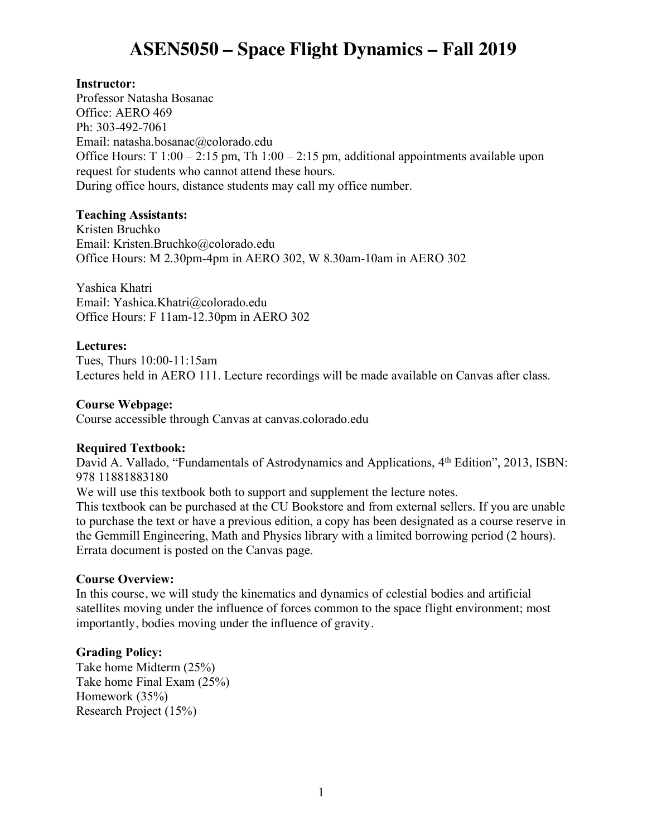# **ASEN5050 – Space Flight Dynamics – Fall 2019**

## **Instructor:**

Professor Natasha Bosanac Office: AERO 469 Ph: 303-492-7061 Email: natasha.bosanac@colorado.edu Office Hours: T 1:00 – 2:15 pm, Th 1:00 – 2:15 pm, additional appointments available upon request for students who cannot attend these hours. During office hours, distance students may call my office number.

## **Teaching Assistants:**

Kristen Bruchko Email: Kristen.Bruchko@colorado.edu Office Hours: M 2.30pm-4pm in AERO 302, W 8.30am-10am in AERO 302

Yashica Khatri Email: Yashica.Khatri@colorado.edu Office Hours: F 11am-12.30pm in AERO 302

## **Lectures:**

Tues, Thurs 10:00-11:15am Lectures held in AERO 111. Lecture recordings will be made available on Canvas after class.

## **Course Webpage:**

Course accessible through Canvas at canvas.colorado.edu

#### **Required Textbook:**

David A. Vallado, "Fundamentals of Astrodynamics and Applications, 4<sup>th</sup> Edition", 2013, ISBN: 978 11881883180

We will use this textbook both to support and supplement the lecture notes.

This textbook can be purchased at the CU Bookstore and from external sellers. If you are unable to purchase the text or have a previous edition, a copy has been designated as a course reserve in the Gemmill Engineering, Math and Physics library with a limited borrowing period (2 hours). Errata document is posted on the Canvas page.

#### **Course Overview:**

In this course, we will study the kinematics and dynamics of celestial bodies and artificial satellites moving under the influence of forces common to the space flight environment; most importantly, bodies moving under the influence of gravity.

## **Grading Policy:**

Take home Midterm (25%) Take home Final Exam (25%) Homework (35%) Research Project (15%)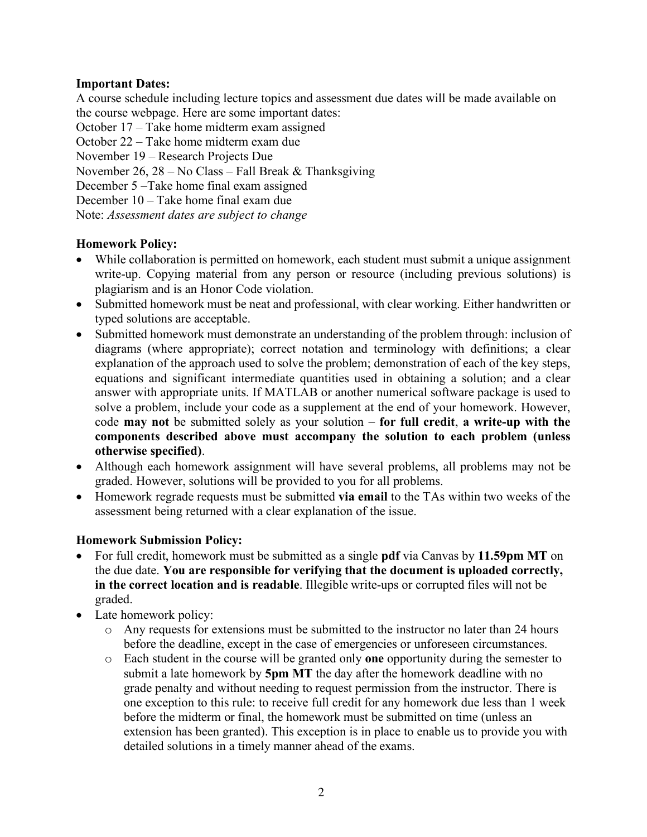# **Important Dates:**

A course schedule including lecture topics and assessment due dates will be made available on the course webpage. Here are some important dates:

October 17 – Take home midterm exam assigned

October 22 – Take home midterm exam due

November 19 – Research Projects Due

November 26, 28 – No Class – Fall Break & Thanksgiving

December 5 –Take home final exam assigned

December 10 – Take home final exam due

Note: *Assessment dates are subject to change*

## **Homework Policy:**

- While collaboration is permitted on homework, each student must submit a unique assignment write-up. Copying material from any person or resource (including previous solutions) is plagiarism and is an Honor Code violation.
- Submitted homework must be neat and professional, with clear working. Either handwritten or typed solutions are acceptable.
- Submitted homework must demonstrate an understanding of the problem through: inclusion of diagrams (where appropriate); correct notation and terminology with definitions; a clear explanation of the approach used to solve the problem; demonstration of each of the key steps, equations and significant intermediate quantities used in obtaining a solution; and a clear answer with appropriate units. If MATLAB or another numerical software package is used to solve a problem, include your code as a supplement at the end of your homework. However, code **may not** be submitted solely as your solution – **for full credit**, **a write-up with the components described above must accompany the solution to each problem (unless otherwise specified)**.
- Although each homework assignment will have several problems, all problems may not be graded. However, solutions will be provided to you for all problems.
- Homework regrade requests must be submitted **via email** to the TAs within two weeks of the assessment being returned with a clear explanation of the issue.

## **Homework Submission Policy:**

- For full credit, homework must be submitted as a single **pdf** via Canvas by **11.59pm MT** on the due date. **You are responsible for verifying that the document is uploaded correctly, in the correct location and is readable**. Illegible write-ups or corrupted files will not be graded.
- Late homework policy:
	- o Any requests for extensions must be submitted to the instructor no later than 24 hours before the deadline, except in the case of emergencies or unforeseen circumstances.
	- o Each student in the course will be granted only **one** opportunity during the semester to submit a late homework by **5pm MT** the day after the homework deadline with no grade penalty and without needing to request permission from the instructor. There is one exception to this rule: to receive full credit for any homework due less than 1 week before the midterm or final, the homework must be submitted on time (unless an extension has been granted). This exception is in place to enable us to provide you with detailed solutions in a timely manner ahead of the exams.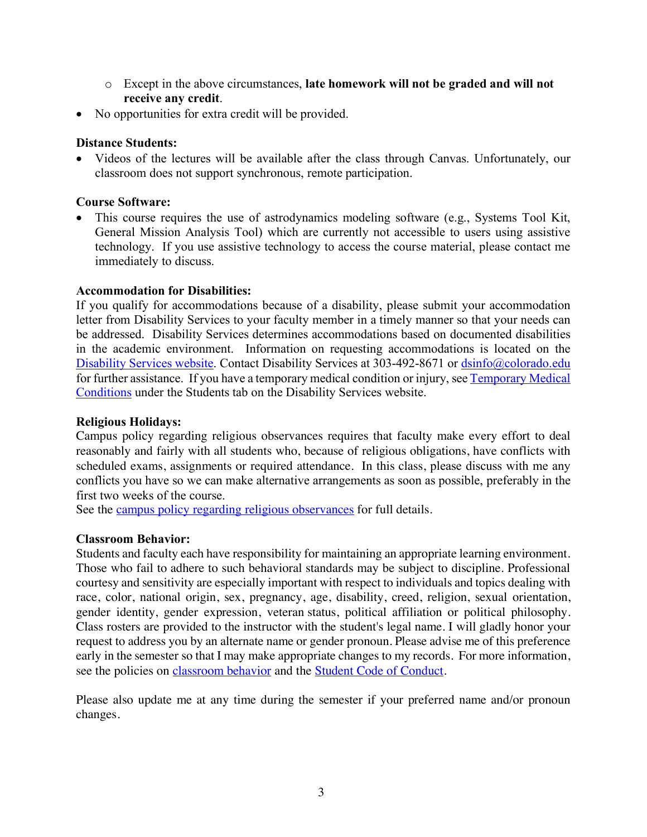- o Except in the above circumstances, **late homework will not be graded and will not receive any credit**.
- No opportunities for extra credit will be provided.

### **Distance Students:**

• Videos of the lectures will be available after the class through Canvas. Unfortunately, our classroom does not support synchronous, remote participation.

## **Course Software:**

• This course requires the use of astrodynamics modeling software (e.g., Systems Tool Kit, General Mission Analysis Tool) which are currently not accessible to users using assistive technology. If you use assistive technology to access the course material, please contact me immediately to discuss.

## **Accommodation for Disabilities:**

If you qualify for accommodations because of a disability, please submit your accommodation letter from Disability Services to your faculty member in a timely manner so that your needs can be addressed. Disability Services determines accommodations based on documented disabilities in the academic environment. Information on requesting accommodations is located on the Disability Services website. Contact Disability Services at 303-492-8671 or dsinfo@colorado.edu for further assistance. If you have a temporary medical condition or injury, see Temporary Medical Conditions under the Students tab on the Disability Services website.

### **Religious Holidays:**

Campus policy regarding religious observances requires that faculty make every effort to deal reasonably and fairly with all students who, because of religious obligations, have conflicts with scheduled exams, assignments or required attendance. In this class, please discuss with me any conflicts you have so we can make alternative arrangements as soon as possible, preferably in the first two weeks of the course.

See the campus policy regarding religious observances for full details.

## **Classroom Behavior:**

Students and faculty each have responsibility for maintaining an appropriate learning environment. Those who fail to adhere to such behavioral standards may be subject to discipline. Professional courtesy and sensitivity are especially important with respect to individuals and topics dealing with race, color, national origin, sex, pregnancy, age, disability, creed, religion, sexual orientation, gender identity, gender expression, veteran status, political affiliation or political philosophy. Class rosters are provided to the instructor with the student's legal name. I will gladly honor your request to address you by an alternate name or gender pronoun. Please advise me of this preference early in the semester so that I may make appropriate changes to my records. For more information, see the policies on classroom behavior and the Student Code of Conduct.

Please also update me at any time during the semester if your preferred name and/or pronoun changes.